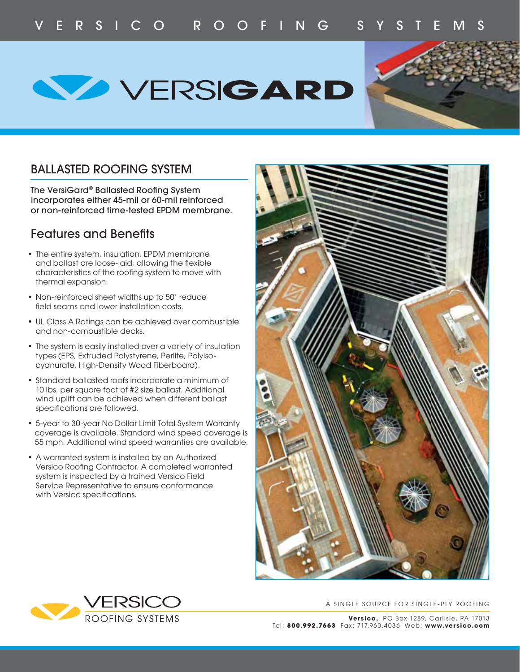



## BALLASTED ROOFING SYSTEM

The VersiGard® Ballasted Roofing System incorporates either 45-mil or 60-mil reinforced or non-reinforced time-tested EPDM membrane.

## **Features and Benefits**

- The entire system, insulation, EPDM membrane and ballast are loose-laid, allowing the flexible characteristics of the roofing system to move with thermal expansion.
- Non-reinforced sheet widths up to 50' reduce field seams and lower installation costs.
- UL Class A Ratings can be achieved over combustible and non-combustible decks.
- The system is easily installed over a variety of insulation types (EPS, Extruded Polystyrene, Perlite, Polyiso cyanurate, High-Density Wood Fiberboard).
- Standard ballasted roofs incorporate a minimum of 10 lbs. per square foot of #2 size ballast. Additional wind uplift can be achieved when different ballast specifications are followed.
- 5-year to 30-year No Dollar Limit Total System Warranty coverage is available. Standard wind speed coverage is 55 mph. Additional wind speed warranties are available.
- A warranted system is installed by an Authorized Versico Roofing Contractor. A completed warranted system is inspected by a trained Versico Field Service Representative to ensure conformance with Versico specifications.





A SINGLE SOURCE FOR SINGLE-PLY ROOFING